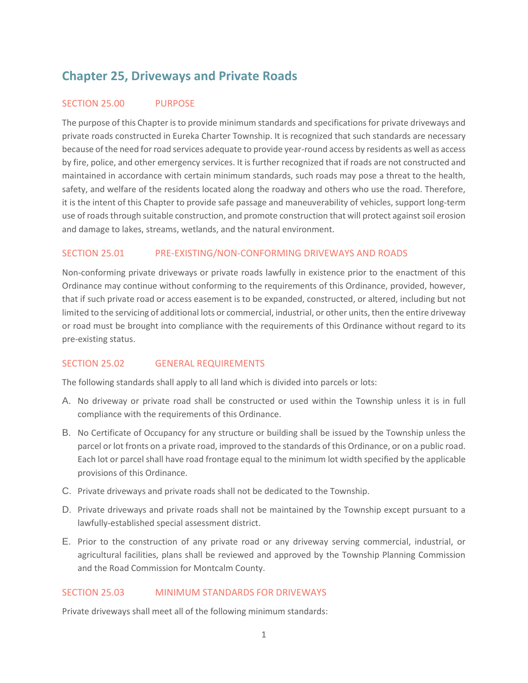# **Chapter 25, Driveways and Private Roads**

# SECTION 25.00 PURPOSE

The purpose of this Chapter is to provide minimum standards and specifications for private driveways and private roads constructed in Eureka Charter Township. It is recognized that such standards are necessary because of the need for road services adequate to provide year-round access by residents as well as access by fire, police, and other emergency services. It is further recognized that if roads are not constructed and maintained in accordance with certain minimum standards, such roads may pose a threat to the health, safety, and welfare of the residents located along the roadway and others who use the road. Therefore, it is the intent of this Chapter to provide safe passage and maneuverability of vehicles, support long-term use of roads through suitable construction, and promote construction that will protect against soil erosion and damage to lakes, streams, wetlands, and the natural environment.

# SECTION 25.01 PRE-EXISTING/NON-CONFORMING DRIVEWAYS AND ROADS

Non-conforming private driveways or private roads lawfully in existence prior to the enactment of this Ordinance may continue without conforming to the requirements of this Ordinance, provided, however, that if such private road or access easement is to be expanded, constructed, or altered, including but not limited to the servicing of additional lots or commercial, industrial, or other units, then the entire driveway or road must be brought into compliance with the requirements of this Ordinance without regard to its pre-existing status.

### SECTION 25.02 GENERAL REQUIREMENTS

The following standards shall apply to all land which is divided into parcels or lots:

- A. No driveway or private road shall be constructed or used within the Township unless it is in full compliance with the requirements of this Ordinance.
- B. No Certificate of Occupancy for any structure or building shall be issued by the Township unless the parcel or lot fronts on a private road, improved to the standards of this Ordinance, or on a public road. Each lot or parcel shall have road frontage equal to the minimum lot width specified by the applicable provisions of this Ordinance.
- C. Private driveways and private roads shall not be dedicated to the Township.
- D. Private driveways and private roads shall not be maintained by the Township except pursuant to a lawfully-established special assessment district.
- E. Prior to the construction of any private road or any driveway serving commercial, industrial, or agricultural facilities, plans shall be reviewed and approved by the Township Planning Commission and the Road Commission for Montcalm County.

### SECTION 25.03 MINIMUM STANDARDS FOR DRIVEWAYS

Private driveways shall meet all of the following minimum standards: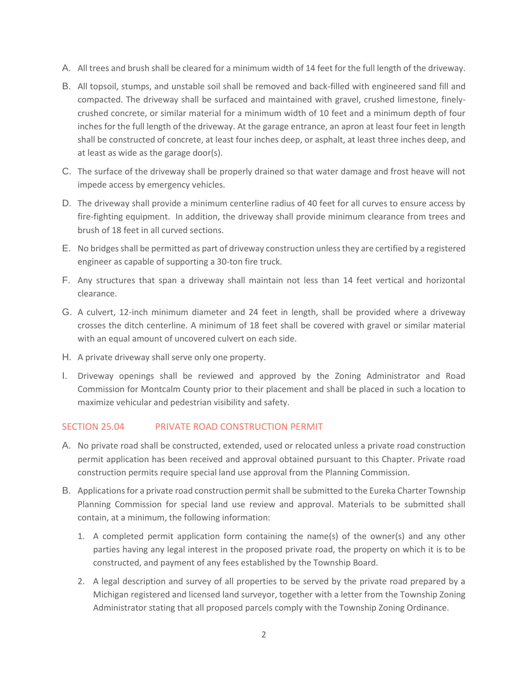- A. All trees and brush shall be cleared for a minimum width of 14 feet for the full length of the driveway.
- B. All topsoil, stumps, and unstable soil shall be removed and back-filled with engineered sand fill and compacted. The driveway shall be surfaced and maintained with gravel, crushed limestone, finelycrushed concrete, or similar material for a minimum width of 10 feet and a minimum depth of four inches for the full length of the driveway. At the garage entrance, an apron at least four feet in length shall be constructed of concrete, at least four inches deep, or asphalt, at least three inches deep, and at least as wide as the garage door(s).
- C. The surface of the driveway shall be properly drained so that water damage and frost heave will not impede access by emergency vehicles.
- D. The driveway shall provide a minimum centerline radius of 40 feet for all curves to ensure access by fire-fighting equipment. In addition, the driveway shall provide minimum clearance from trees and brush of 18 feet in all curved sections.
- E. No bridges shall be permitted as part of driveway construction unless they are certified by a registered engineer as capable of supporting a 30-ton fire truck.
- F. Any structures that span a driveway shall maintain not less than 14 feet vertical and horizontal clearance.
- G. A culvert, 12-inch minimum diameter and 24 feet in length, shall be provided where a driveway crosses the ditch centerline. A minimum of 18 feet shall be covered with gravel or similar material with an equal amount of uncovered culvert on each side.
- H. A private driveway shall serve only one property.
- I. Driveway openings shall be reviewed and approved by the Zoning Administrator and Road Commission for Montcalm County prior to their placement and shall be placed in such a location to maximize vehicular and pedestrian visibility and safety.

# SECTION 25.04 PRIVATE ROAD CONSTRUCTION PERMIT

- A. No private road shall be constructed, extended, used or relocated unless a private road construction permit application has been received and approval obtained pursuant to this Chapter. Private road construction permits require special land use approval from the Planning Commission.
- B. Applications for a private road construction permit shall be submitted to the Eureka Charter Township Planning Commission for special land use review and approval. Materials to be submitted shall contain, at a minimum, the following information:
	- 1. A completed permit application form containing the name(s) of the owner(s) and any other parties having any legal interest in the proposed private road, the property on which it is to be constructed, and payment of any fees established by the Township Board.
	- 2. A legal description and survey of all properties to be served by the private road prepared by a Michigan registered and licensed land surveyor, together with a letter from the Township Zoning Administrator stating that all proposed parcels comply with the Township Zoning Ordinance.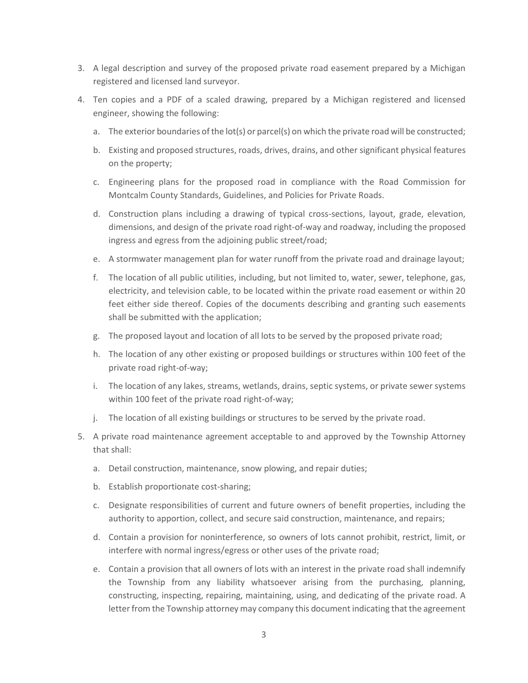- 3. A legal description and survey of the proposed private road easement prepared by a Michigan registered and licensed land surveyor.
- 4. Ten copies and a PDF of a scaled drawing, prepared by a Michigan registered and licensed engineer, showing the following:
	- a. The exterior boundaries of the lot(s) or parcel(s) on which the private road will be constructed;
	- b. Existing and proposed structures, roads, drives, drains, and other significant physical features on the property;
	- c. Engineering plans for the proposed road in compliance with the Road Commission for Montcalm County Standards, Guidelines, and Policies for Private Roads.
	- d. Construction plans including a drawing of typical cross-sections, layout, grade, elevation, dimensions, and design of the private road right-of-way and roadway, including the proposed ingress and egress from the adjoining public street/road;
	- e. A stormwater management plan for water runoff from the private road and drainage layout;
	- f. The location of all public utilities, including, but not limited to, water, sewer, telephone, gas, electricity, and television cable, to be located within the private road easement or within 20 feet either side thereof. Copies of the documents describing and granting such easements shall be submitted with the application;
	- g. The proposed layout and location of all lots to be served by the proposed private road;
	- h. The location of any other existing or proposed buildings or structures within 100 feet of the private road right-of-way;
	- i. The location of any lakes, streams, wetlands, drains, septic systems, or private sewer systems within 100 feet of the private road right-of-way;
	- j. The location of all existing buildings or structures to be served by the private road.
- 5. A private road maintenance agreement acceptable to and approved by the Township Attorney that shall:
	- a. Detail construction, maintenance, snow plowing, and repair duties;
	- b. Establish proportionate cost-sharing;
	- c. Designate responsibilities of current and future owners of benefit properties, including the authority to apportion, collect, and secure said construction, maintenance, and repairs;
	- d. Contain a provision for noninterference, so owners of lots cannot prohibit, restrict, limit, or interfere with normal ingress/egress or other uses of the private road;
	- e. Contain a provision that all owners of lots with an interest in the private road shall indemnify the Township from any liability whatsoever arising from the purchasing, planning, constructing, inspecting, repairing, maintaining, using, and dedicating of the private road. A letter from the Township attorney may company this document indicating that the agreement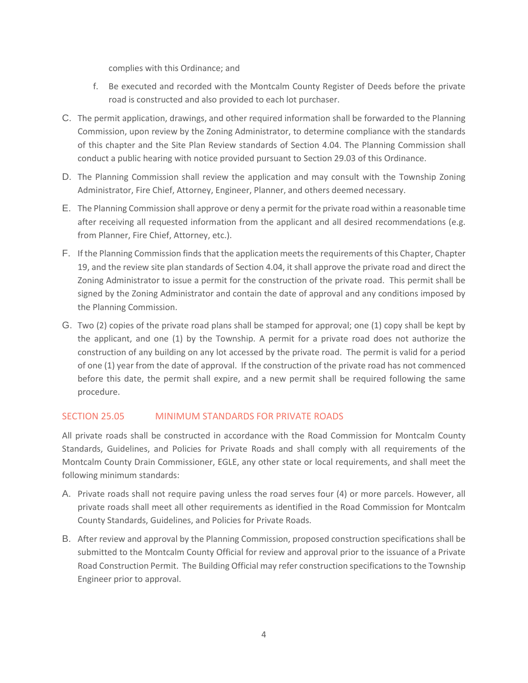complies with this Ordinance; and

- f. Be executed and recorded with the Montcalm County Register of Deeds before the private road is constructed and also provided to each lot purchaser.
- C. The permit application, drawings, and other required information shall be forwarded to the Planning Commission, upon review by the Zoning Administrator, to determine compliance with the standards of this chapter and the Site Plan Review standards of Section 4.04. The Planning Commission shall conduct a public hearing with notice provided pursuant to Section 29.03 of this Ordinance.
- D. The Planning Commission shall review the application and may consult with the Township Zoning Administrator, Fire Chief, Attorney, Engineer, Planner, and others deemed necessary.
- E. The Planning Commission shall approve or deny a permit for the private road within a reasonable time after receiving all requested information from the applicant and all desired recommendations (e.g. from Planner, Fire Chief, Attorney, etc.).
- F. If the Planning Commission finds that the application meets the requirements of this Chapter, Chapter 19, and the review site plan standards of Section 4.04, it shall approve the private road and direct the Zoning Administrator to issue a permit for the construction of the private road. This permit shall be signed by the Zoning Administrator and contain the date of approval and any conditions imposed by the Planning Commission.
- G. Two (2) copies of the private road plans shall be stamped for approval; one (1) copy shall be kept by the applicant, and one (1) by the Township. A permit for a private road does not authorize the construction of any building on any lot accessed by the private road. The permit is valid for a period of one (1) year from the date of approval. If the construction of the private road has not commenced before this date, the permit shall expire, and a new permit shall be required following the same procedure.

# SECTION 25.05 MINIMUM STANDARDS FOR PRIVATE ROADS

All private roads shall be constructed in accordance with the Road Commission for Montcalm County Standards, Guidelines, and Policies for Private Roads and shall comply with all requirements of the Montcalm County Drain Commissioner, EGLE, any other state or local requirements, and shall meet the following minimum standards:

- A. Private roads shall not require paving unless the road serves four (4) or more parcels. However, all private roads shall meet all other requirements as identified in the Road Commission for Montcalm County Standards, Guidelines, and Policies for Private Roads.
- B. After review and approval by the Planning Commission, proposed construction specifications shall be submitted to the Montcalm County Official for review and approval prior to the issuance of a Private Road Construction Permit. The Building Official may refer construction specifications to the Township Engineer prior to approval.